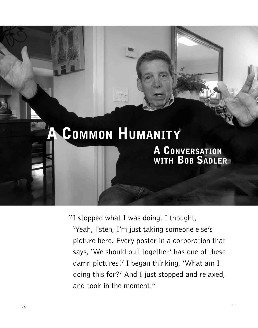

"I stopped what I was doing. I thought, 'Yeah, listen, I'm just taking someone else's picture here. Every poster in a corporation that says, 'We should pull together' has one of these damn pictures!' I began thinking, 'What am I doing this for?' And I just stopped and relaxed, and took in the moment."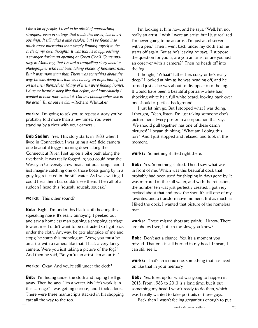Like a lot of people, I used to be afraid of approaching *strangers, even in settings that made this easier, like at art openings. It still takes a little resolve, but I've found it so much more interesting than simply limiting myself to the circle of my own thoughts. It was thanks to approaching a stranger during an opening at Green Chalk Contemporary in Monterey, that I heard a compelling story about a photographer who had been taking photos of homeless men. But it was more than that. There was something about the way he was doing this that was having an important effect on the men themselves. Many of them were finding homes. I'd never heard a story like that before, and immediately I wanted to hear more about it. Did this photographer live in the area? Turns out he did.* —Richard Whittaker

**works:** I'm going to ask you to repeat a story you've probably told more than a few times. You were standing by a river with your camera…

**Bob Sadler:** Yes. This story starts in 1983 when I lived in Connecticut. I was using a 4x5 field camera one beautiful foggy morning down along the Connecticut River. I set up on a bike path along the riverbank. It was really fogged in; you could hear the Wesleyan University crew boats out practicing. I could just imagine catching one of those boats going by in a grey fog reflected in the still water. As I was waiting, I could hear them but couldn't see them. Then all of a sudden I head this "squeak, squeak, squeak."

works: This other sound?

Bob: Right. I'm under this black cloth hearing this squeaking noise. It's really annoying. I peeked out and saw a homeless man pushing a shopping carriage toward me. I didn't want to be distracted so I got back under the cloth. Anyway, he gets alongside of me and stops; he starts this monologue: "Wow, you must be an artist with a camera like that. That's a very fancy camera. Were you just taking a picture of the fog?" And then he said, "So you're an artist. I'm an artist."

works: Okay. And you're still under the cloth?

**Bob:** I'm hiding under the cloth and hoping he'll go away. Then he says, "I'm a writer. My life's work is in this carriage." I was getting curious, and I took a look. There were these manuscripts stacked in his shopping cart all the way to the top.

 I'm looking at him now, and he says, "Well, I'm not really an artist. I wish I were an artist, but I just realized I'm never going to be an artist. I'm just an observer with a pen." Then I went back under my cloth and he starts off again. But as he's leaving he says, "I suppose the question for you is, are you an artist or are you just an observer with a camera?" Then he heads off into the fog.

 I thought, "Whaat? Either he's crazy or he's really deep." I looked at him as he was heading off, and he turned just as he was about to disappear into the fog. It would have been a beautiful portrait—white hair, shocking white hair, full white beard, looking back over one shoulder, perfect background.

 I just let him go. But I stopped what I was doing. I thought, "Yeah, listen, I'm just taking someone else's picture here. Every poster in a corporation that says 'We should pull together' has one of these damn pictures!" I began thinking, "What am I doing this for?" And I just stopped and relaxed, and took in the moment.

works: Something shifted right there.

**Bob:** Yes. Something shifted. Then I saw what was in front of me. Which was this beautiful dock that probably had been used for shipping in days gone by. It was mirrored in the still water, and with the reflection, the number ten was just perfectly created. I got very excited about that and took the shot. It's still one of my favorites, and a transformative moment. But as much as I liked the dock, I wanted that picture of the homeless man.

works: Those missed shots are painful, I know. There are photos I see, but I'm too slow, you know?

**Bob:** Don't get a chance. Yes, it's a moment you missed. That one is still burned in my head. I mean, I can still see it.

works: That's an iconic one, something that has lived on like that in your memory.

**Bob:** Yes. It set up for what was going to happen in 2013. From 1983 to 2013 is a long time, but it put something my head I wasn't ready to do then, which was I really wanted to take portraits of these guys.

Back then I wasn't feeling gregarious enough to put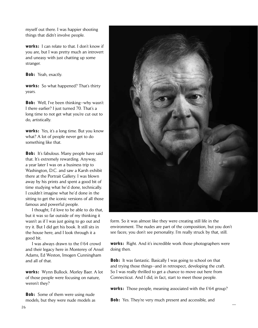myself out there. I was happier shooting things that didn't involve people.

works: I can relate to that. I don't know if you are, but I was pretty much an introvert and uneasy with just chatting up some stranger.

**Bob:** Yeah, exactly.

works: So what happened? That's thirty years.

Bob: Well, I've been thinking—why wasn't I there earlier? I just turned 70. That's a long time to not get what you're cut out to do, artistically.

**works:** Yes, it's a long time. But you know what? A lot of people never get to do something like that.

**Bob:** It's fabulous. Many people have said that. It's extremely rewarding. Anyway, a year later I was on a business trip to Washington, D.C. and saw a Karsh exhibit there at the Portrait Gallery. I was blown away by his prints and spent a good bit of time studying what he'd done, technically. I couldn't imagine what he'd done in the sitting to get the iconic versions of all those famous and powerful people.

 I thought, I'd love to be able to do that, but it was so far outside of my thinking it wasn't as if I was just going to go out and try it. But I did get his book. It still sits in the house here, and I look through it a good bit.

 I was always drawn to the f/64 crowd and their legacy here in Monterey of Ansel Adams, Ed Weston, Imogen Cunningham and all of that.

works: Wynn Bullock. Morley Baer. A lot of those people were focusing on nature, weren't they?

**Bob:** Some of them were using nude models, but they were nude models as



form. So it was almost like they were creating still life in the environment. The nudes are part of the composition, but you don't see faces; you don't see personality. I'm really struck by that, still.

works: Right. And it's incredible work those photographers were doing then.

**Bob:** It was fantastic. Basically I was going to school on that and trying those things—and in retrospect, developing the craft. So I was really thrilled to get a chance to move out here from Connecticut. And I did, in fact, start to meet those people.

works: Those people, meaning associated with the f/64 group?

Bob: Yes. They're very much present and accessible, and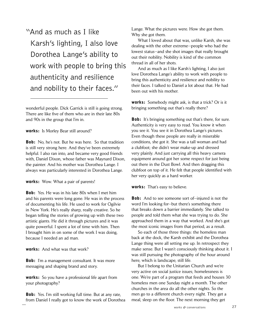"And as much as I like Karsh's lighting, I also love Dorothea Lange's ability to work with people to bring this authenticity and resilience and nobility to their faces."

wonderful people. Dick Garrick is still is going strong. There are like five of them who are in their late 80s and 90s in the group that I'm in.

works: Is Morley Bear still around?

**Bob:** No, he's not. But he was here. So that tradition is still very strong here. And they've been extremely helpful. I also ran into, and became very good friends with, Daniel Dixon, whose father was Maynard Dixon, the painter. And his mother was Dorothea Lange. I always was particularly interested in Dorothea Lange.

works: Wow. What a pair of parents!

Bob: Yes. He was in his late 80s when I met him and his parents were long gone. He was in the process of documenting his life. He used to work for Ogilvie in New York. He's really sharp, really creative. So he began telling the stories of growing up with these two artistic giants. He did it through pictures and it was quite powerful. I spent a lot of time with him. Then I brought him in on some of the work I was doing, because I needed an ad man.

works: And what was that work?

**Bob:** I'm a management consultant. It was more messaging and shaping brand and story.

**works:** So you have a professional life apart from your photography?

**Bob:** Yes. I'm still working full time. But at any rate, from Daniel I really got to know the work of Dorothea Lange. What the pictures were. How she got them. Why she got them.

 What I loved about that was, unlike Karsh, she was dealing with the other extreme—people who had the lowest status—and she shot images that really brought out their nobility. Nobility is kind of the common thread in all of her shots.

 And as much as I like Karsh's lighting, I also just love Dorothea Lange's ability to work with people to bring this authenticity and resilience and nobility to their faces. I talked to Daniel a lot about that. He had been out with his mother.

works: Somebody might ask, is that a trick? Or is it bringing something out that's really there?

**Bob:** It's bringing something out that's there, for sure. Authenticity is very easy to read. You know it when you see it. You see it in Dorothea Lange's pictures. Even though these people are really in miserable conditions, she got it. She was a tall woman and had a clubfoot; she didn't wear make-up and dressed very plainly. And just carrying all this heavy camera equipment around got her some respect for just being out there in the Dust Bowl. And then dragging this clubfoot on top of it. He felt that people identified with her very quickly as a hard worker.

works: That's easy to believe.

**Bob:** And to see someone sort of-injured is not the word I'm looking for—but there's something there that breaks down a barrier immediately. She talked to people and told them what she was trying to do. She approached them in a way that worked. And she's got the most iconic images from that period, as a result.

 So each of those three things: the homeless man back at the dock, the Karsh exhibit and the Dorothea Lange thing were all setting me up. In retrospect they make sense. But I wasn't consciously thinking about it. I was still pursuing the photography of the hour around here, which is landscape, still life.

 But I belong to the Unitarian Church and we're very active on social justice issues; homelessness is one. We're part of a program that feeds and houses 30 homeless men one Sunday night a month. The other churches in the area do all the other nights. So the men go to a different church every night. They get a meal, sleep on the floor. The next morning they get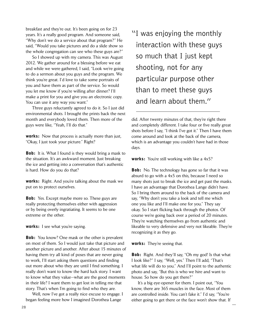breakfast and they're out. It's been going on for 23 years. It's a really good program. And someone said, "Why don't we do a service about that program?" He said, "Would you take pictures and do a slide show so the whole congregation can see who these guys are?"

 So I showed up with my camera. This was August 2012. We gather around for a blessing before we eat and while we were gathered, I said, "Look we're going to do a sermon about you guys and the program. We think you're great. I'd love to take some portraits of you and have them as part of the service. So would you let me know if you're willing after dinner? I'll make a print for you and give you an electronic copy. You can use it any way you want."

 Three guys reluctantly agreed to do it. So I just did environmental shots. I brought the prints back the next month and everybody loved them. Then more of the guys were like, "Yeah, I'll do that."

**works:** Now that process is actually more than just, "Okay, I just took your picture." Right?

**Bob:** It is. What I found is they would bring a mask to the situation. It's an awkward moment. Just breaking the ice and getting into a conversation that's authentic is hard. How do you do that?

**works:** Right. And you're talking about the mask we put on to protect ourselves.

**Bob:** Yes. Except maybe more so. These guys are really protecting themselves either with aggression or by being overly ingratiating. It seems to be one extreme or the other.

works: I see what you're saying.

**Bob:** You know? One mask or the other is prevalent on most of them. So I would just take that picture and another picture and another. After about 15 minutes of having them try all kind of poses that are never going to work, I'll start asking them questions and finding out more about who they are until I find something. I really don't want to know the hard luck story. I want to know what they value—what are the good moments in their life? I want them to get lost in telling me that story. That's when I'm going to find who they are.

 Well, now I've got a really nice excuse to engage. I began feeling more how I imagined Dorothea Lange

"I was enjoying the monthly interaction with these guys so much that I just kept shooting, not for any particular purpose other than to meet these guys and learn about them."

did. After twenty minutes of that, they're right there and completely different. I take four or five really great shots before I say, "I think I've got it." Then I have them come around and look at the back of the camera, which is an advantage you couldn't have had in those days.

**works:** You're still working with like a 4x5?

**Bob:** No. The technology has gone so far that it was absurd to go with a 4x5 on this, because I need so many shots just to break the ice and get past the masks. I have an advantage that Dorothea Lange didn't have. So I bring them around to the back of the camera and say, "Why don't you take a look and tell me which one you like and I'll make one for you." They say okay. So I start flicking back through the photos. Of course we're going back over a period of 20 minutes. They're watching themselves go from authentic and likeable to very defensive and very not likeable. They're recognizing it as they go.

works: They're seeing that.

**Bob:** Right. And they'll say, "Oh my god! Is that what I look like?" I say, "Well, yes." Then I'll add, "That's what life will do to you." And I'll point to the authentic photo and say, "But this is who we hire and want to house. So how do you get there?"

 It's a big eye-opener for them. I point out, "You know, there are 365 muscles in the face. Most of them are controlled inside. You can't fake it." I'd say, "You're either going to get there or the face won't show that. If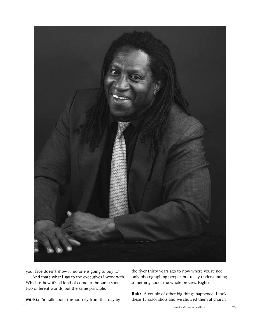

your face doesn't show it, no one is going to buy it."

 And that's what I say to the executives I work with. Which is how it's all kind of come to the same spot two different worlds, but the same principle.

the river thirty years ago to now where you're not only photographing people, but really understanding something about the whole process. Right?

works: So talk about this journey from that day by

**Bob:** A couple of other big things happened. I took these 15 color shots and we showed them at church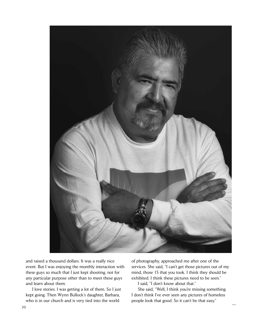

and raised a thousand dollars. It was a really nice event. But I was enjoying the monthly interaction with these guys so much that I just kept shooting, not for any particular purpose other than to meet these guys and learn about them.

 I love stories. I was getting a lot of them. So I just kept going. Then Wynn Bullock's daughter, Barbara, who is in our church and is very tied into the world

of photography, approached me after one of the services. She said, "I can't get those pictures out of my mind, those 15 that you took. I think they should be exhibited. I think these pictures need to be seen."

I said, "I don't know about that."

 She said, "Well, I think you're missing something. I don't think I've ever seen any pictures of homeless people look that good. So it can't be that easy."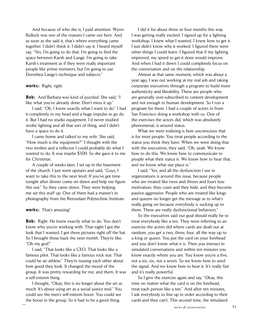And because of who she is, I paid attention. Wynn Bullock was one of the reasons I came out here. And as soon as she said it, that's where everything came together. I didn't think it. I didn't say it. I heard myself say, "Yes, I'm going to do that. I'm going to find the space between Karsh and Lange. I'm going to take Karsh's treatment as if they were really important people like prime ministers, but I'm going to use Dorothea Lange's technique and subjects."

works: Right, right.

**Bob:** And Barbara was kind of puzzled. She said, "I like what you've already done. Don't mess it up."

 I said, "Oh, I know exactly what I want to do." I had it completely in my head and a huge impulse to go do it. But I had no studio equipment. I'd never studied strobe lighting and all that sort of thing, and I didn't have a space to do it.

 I came home and talked to my wife. She said, "How much is the equipment?" I thought with the two strobes and a reflector I could probably do what I wanted to do. It was maybe \$500. So she gave it to me for Christmas.

 A couple of weeks later, I set up in the basement of the church. I just went upstairs and said, "Guys, I want to take this to the next level. If you've got time tonight after dinner come on down and help me figure this out." So they came down. They were helping me set this stuff up. One of them had a master's in photography from the Rensselaer Polytechnic Institute.

works: That's amazing!

**Bob:** Right. He knew exactly what to do. You don't know who you're working with. That night I got the look that I wanted. I got three pictures right off the bat. So I brought those back the next month. They're like, "Oh my god!"

 I said, "That looks like a CEO. That looks like a famous pilot. That looks like a famous rock star. That could be an athlete." They're teasing each other about how good they look. It changed the mood of the group. It was pretty rewarding for me, and them. It was a self-esteem thing.

 I thought, "Okay, this is no longer about the art as much. It's about using art as a social justice tool." You could see the men's self-esteem boost. You could see the boost in the group. So it had to be a good thing.

 I did it for about three or four months this way. I was getting really excited. I signed up for a lighting workshop. I knew what I wanted. I knew how to get it. I just didn't know why it worked. I figured there were other things I could learn. I figured that if my lighting improved, my speed to get it done would improve. And when I had it down I could completely focus on the conversation and on the relationship.

 Almost at that same moment, which was about a year ago, I was out working at my real job and taking corporate executives through a program to build more authenticity and likeability. These are people who are generally over-subscribed to content development and not enough to human development. So I run a program for them. I had a couple of actors in from San Francisco doing a workshop with us. One of the exercises the actors did, which was absolutely phenomenal, is around status.

 What we were realizing is how unconscious that is for most people. You treat people according to the status you think they have. When we were doing that with the executives, they said, "Oh, yeah. We know how to do this. We know how to communicate to people what their status is. We know how to hear that, and we know what our place is."

 I said, "Yes, and all the dysfunction I see in organizations is around this issue, because people who are treated like twos and threes and fours lose motivation; they coast and they hide, and they become passive-aggressive. People who are treated like kings and queens no longer get the message as to what's really going on because everybody is sucking up to them. These are really dysfunctional behaviors."

 So the executives said our goal should really be to treat everybody like a ten. They were referring to an exercise the actors did where cards are dealt out at random; you get a two, three, four, all the way up to a king or queen. You put the card on your forehead and you don't know what it is. Then you interact in simulated conversations and within ten minutes you know exactly where you are. You know you're a five, not a six; six, not a seven. So we know how to send the signal. And we know how to hear it. It's really fast and it's really powerful.

 So I give the exercise again and say, "Okay, this time no matter what the card is on the forehead, treat each person like a ten." And after ten minutes, I ask everybody to line up in order according to their cards and they can't. This second time, the simulated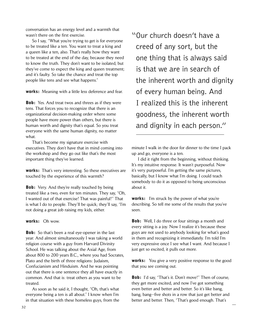conversation has an energy level and a warmth that wasn't there on the first exercise.

 So I say, "What you're trying to get is for everyone to be treated like a ten. You want to treat a king and a queen like a ten, also. That's really how they want to be treated at the end of the day, because they need to know the truth. They don't want to be isolated, but they've come to expect the king and queen treatment; and it's faulty. So take the chance and treat the top people like tens and see what happens."

works: Meaning with a little less deference and fear.

**Bob:** Yes. And treat twos and threes as if they were tens. That forces you to recognize that there is an organizational decision-making order where some people have more power than others, but there is human worth and dignity that's equal. So you treat everyone with the same human dignity, no matter what.

 That's become my signature exercise with executives. They don't have that in mind coming into the workshop and they go out like that's the most important thing they've learned.

works: That's very interesting. So these executives are touched by the experience of this warmth?

**Bob:** Very. And they're really touched by being treated like a two, even for ten minutes. They say, "Oh, I wanted out of that exercise! That was painful!" That is what I do to people. They'll be quick; they'll say, "I'm not doing a great job raising my kids, either.

works: Oh wow

**Bob:** So that's been a real eye-opener in the last year. And almost simultaneously I was taking a world religion course with a guy from Harvard Divinity School. He was talking about the Axial Age, from about 800 to 200 years B.C., where you had Socrates, Plato and the birth of three religions: Judaism, Confucianism and Hinduism. And he was pointing out that there is one sentence they all have exactly in common. And that is: treat others as you want to be treated.

 As soon as he said it, I thought, "Oh, that's what everyone being a ten is all about." I know when I'm in that situation with these homeless guys, from the "Our church doesn't have a creed of any sort, but the one thing that is always said is that we are in search of the inherent worth and dignity of every human being. And I realized this is the inherent goodness, the inherent worth and dignity in each person."

minute I walk in the door for dinner to the time I pack up and go, everyone is a ten.

 I did it right from the beginning, without thinking. It's my intuitive response. It wasn't purposeful. Now it's very purposeful. I'm getting the same pictures, basically, but I know what I'm doing. I could teach somebody to do it as opposed to being unconscious about it.

**works:** I'm struck by the power of what you're describing. So tell me some of the results that you've seen.

**Bob:** Well, I do three or four sittings a month and every sitting is a joy. Now I realize it's because these guys are not used to anybody looking for what's good in them and recognizing it immediately. I'm told I'm very expressive once I see what I want. And because I just get so excited, it pulls out more.

**works:** You give a very positive response to the good that you see coming out.

Bob: I'd say, "That's it. Don't move!" Then of course, they get more excited, and now I've got something even better and better and better. So it's like bang, bang, bang—five shots in a row that just get better and better and better. Then, "That's good enough. That's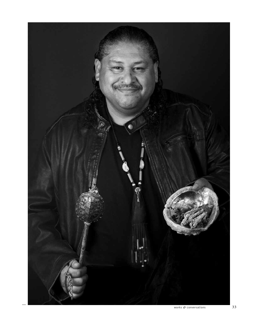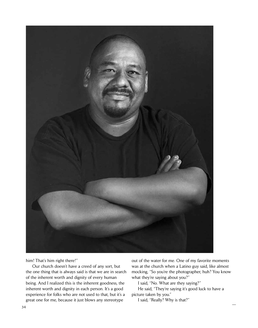

him! That's him right there!"

 Our church doesn't have a creed of any sort, but the one thing that is always said is that we are in search of the inherent worth and dignity of every human being. And I realized this is the inherent goodness, the inherent worth and dignity in each person. It's a good experience for folks who are not used to that, but it's a great one for me, because it just blows any stereotype

out of the water for me. One of my favorite moments was at the church when a Latino guy said, like almost mocking, "So you're the photographer, huh? You know what they're saying about you?"

I said, "No. What are they saying?"

 He said, "They're saying it's good luck to have a picture taken by you."

I said, "Really? Why is that?"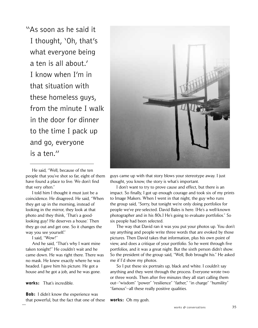"As soon as he said it I thought, 'Oh, that's what everyone being a ten is all about.' I know when I'm in that situation with these homeless guys, from the minute I walk in the door for dinner to the time I pack up and go, everyone is a ten."



 He said, "Well, because of the ten people that you've shot so far, eight of them have found a place to live. We don't find that very often."

 I told him I thought it must just be a coincidence. He disagreed. He said, "When they get up in the morning, instead of looking in the mirror, they look at that photo and they think, 'That's a goodlooking guy! He deserves a house.' Then they go out and get one. So it changes the way you see yourself."

I said, "Wow!"

 And he said, "That's why I want mine taken tonight!" He couldn't wait and he came down. He was right there. There was no mask. He knew exactly where he was headed. I gave him his picture. He got a house and he got a job, and he was gone.

works: That's incredible.

**Bob:** I didn't know the experience was that powerful, but the fact that one of these guys came up with that story blows your stereotype away. I just thought, you know, the story is what's important.

 I don't want to try to prove cause and effect, but there is an impact. So finally, I got up enough courage and took six of my prints to Image Makers. When I went in that night, the guy who runs the group said, "Sorry, but tonight we're only doing portfolios for people we've pre-selected. David Bales is here. [He's a well-known photographer and in his 80s.] He's going to evaluate portfolios." So six people had been selected.

 The way that David ran it was you put your photos up. You don't say anything and people write three words that are evoked by those pictures. Then David takes that information, plus his own point of view, and does a critique of your portfolio. So he went through five portfolios, and it was a great night. But the sixth person didn't show. So the president of the group said, "Well, Bob brought his." He asked me if I'd show my photos.

 So I put these six portraits up, black and white. I couldn't say anything and they went through the process. Everyone wrote two or three words. Then after five minutes they all start calling them out—"wisdom" "power" "resilience" "father," "in charge" "humility" "famous"—all these really positive qualities.

works: Oh my gosh.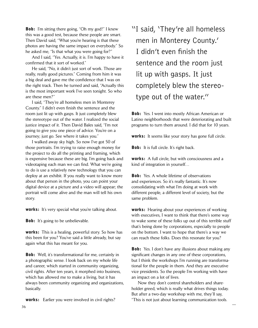**Bob:** I'm sitting there going, "Oh my god!" I knew this was a good test, because these people are smart. Then David said, "What you're hearing is that these photos are having the same impact on everybody." So he asked me, "Is that what you were going for?"

 And I said, "Yes. Actually, it is. I'm happy to have it confirmed that it sort of worked."

 He said, "No, it didn't just sort of work. Those are really, really good pictures." Coming from him it was a big deal and gave me the confidence that I was on the right track. Then he turned and said, "Actually this is the most important work I've seen tonight. So who are these men?"

 I said, "They're all homeless men in Monterey County." I didn't even finish the sentence and the room just lit up with gasps. It just completely blew the stereotype out of the water. I realized the social justice impact of it. Then David Bales said, "I'm not going to give you one piece of advice. You're on a journey; just go. See where it takes you."

 I walked away sky high. So now I've got 50 of those portraits. I'm trying to raise enough money for the project to do all the printing and framing, which is expensive because these are big. I'm going back and videotaping each man we can find. What we're going to do is use a relatively new technology that you can deploy at an exhibit. If you really want to know more about that person in the photo, you can point your digital device at a picture and a video will appear; the portrait will come alive and the man will tell his own story.

works: It's very special what you're talking about.

**Bob:** It's going to be unbelievable.

**works:** This is a healing, powerful story. So how has this been for you? You've said a little already, but say again what this has meant for you.

**Bob:** Well, it's transformational for me, certainly in a photographic sense. I look back on my whole life and career, which started in community organizing, civil rights. After ten years, it morphed into business, which has allowed me to make a living, but it has always been community organizing and organizations, basically.

works: Earlier you were involved in civil rights?

"I said, 'They're all homeless men in Monterey County.' I didn't even finish the sentence and the room just lit up with gasps. It just completely blew the stereo type out of the water."

**Bob:** Yes. I went into mostly African American or Latino neighborhoods that were deteriorating and built programs to turn them around. I did that for 10 years.

works: It seems like your story has gone full circle.

**Bob:** It is full circle. It's right back.

**works:** A full circle, but with consciousness and a kind of integration in yourself…

**Bob:** Yes. A whole lifetime of observations and experiences. So it's really fantastic. It's now consolidating with what I'm doing at work with different people, a different level of society, but the same problem.

**works:** Hearing about your experiences of working with executives, I want to think that there's some way to wake some of these folks up out of this terrible stuff that's being done by corporations, especially to people on the bottom. I want to hope that there's a way we can reach these folks. Does this resonate for you?

**Bob:** Yes. I don't have any illusions about making any significant changes in any one of these corporations, but I think the workshops I'm running are transformational for the people in them. And they are executive vice presidents. So the people I'm working with have an impact on a lot of lives.

 Now they don't control shareholders and shareholder greed, which is really what drives things today. But after a two-day workshop with me, they'll say, "This is not just about learning communication tools.